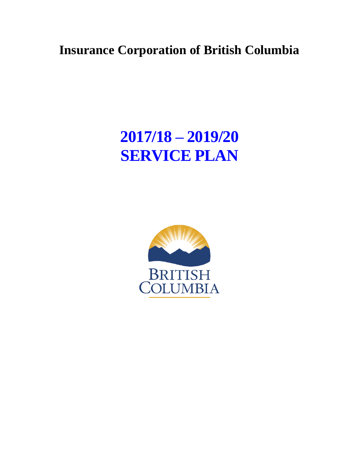## **Insurance Corporation of British Columbia**

# **2017/18 – 2019/20 SERVICE PLAN**

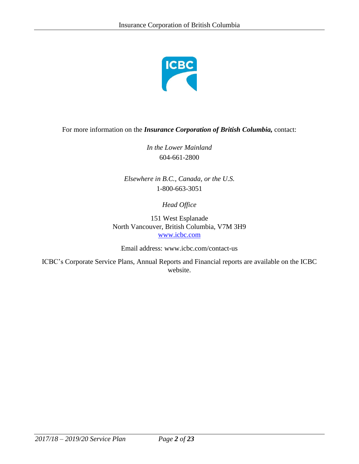

#### For more information on the *Insurance Corporation of British Columbia,* contact:

*In the Lower Mainland*  604-661-2800

*Elsewhere in B.C., Canada, or the U.S.*  1-800-663-3051

*Head Office* 

151 West Esplanade North Vancouver, British Columbia, V7M 3H9 [www.icbc.com](http://www.icbc.com/)

Email address: [www.icbc.com/contact-us](http://www.icbc.com/contact-us)

ICBC's Corporate Service Plans, Annual Reports and Financial reports are available on the ICBC website.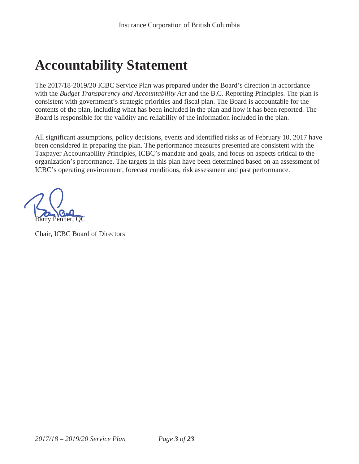# **Accountability Statement**

The 2017/18-2019/20 ICBC Service Plan was prepared under the Board's direction in accordance with the *Budget Transparency and Accountability Act* and the B.C. Reporting Principles. The plan is consistent with government's strategic priorities and fiscal plan. The Board is accountable for the contents of the plan, including what has been included in the plan and how it has been reported. The Board is responsible for the validity and reliability of the information included in the plan.

All significant assumptions, policy decisions, events and identified risks as of February 10, 2017 have been considered in preparing the plan. The performance measures presented are consistent with the Taxpayer Accountability Principles, ICBC's mandate and goals, and focus on aspects critical to the organization's performance. The targets in this plan have been determined based on an assessment of ICBC's operating environment, forecast conditions, risk assessment and past performance.

Barry Penner, QC

Chair, ICBC Board of Directors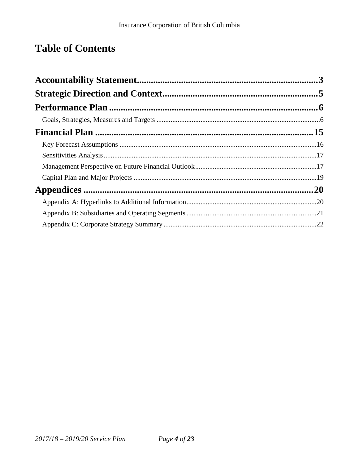## **Table of Contents**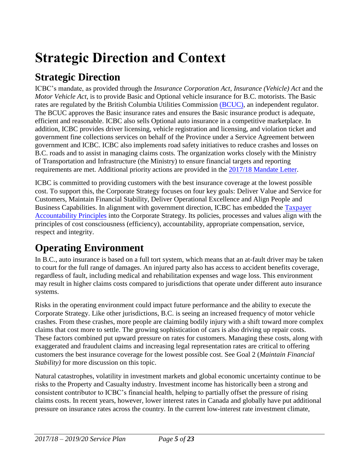# <span id="page-4-0"></span>**Strategic Direction and Context**

## **Strategic Direction**

ICBC's mandate, as provided through the *Insurance Corporation Act*, *Insurance (Vehicle) Act* and the *Motor Vehicle Act*, is to provide Basic and Optional vehicle insurance for B.C. motorists. The Basic rates are regulated by the British Columbia Utilities Commission [\(BCUC\),](http://www.bcuc.com/) an independent regulator. The BCUC approves the Basic insurance rates and ensures the Basic insurance product is adequate, efficient and reasonable. ICBC also sells Optional auto insurance in a competitive marketplace. In addition, ICBC provides driver licensing, vehicle registration and licensing, and violation ticket and government fine collections services on behalf of the Province under a Service Agreement between government and ICBC. ICBC also implements road safety initiatives to reduce crashes and losses on B.C. roads and to assist in managing claims costs. The organization works closely with the Ministry of Transportation and Infrastructure (the Ministry) to ensure financial targets and reporting requirements are met. Additional priority actions are provided in the [2017/18 Mandate Letter](http://www.icbc.com/about-icbc/company-info/Documents/mandate-letter-2017-2018.pdf).

ICBC is committed to providing customers with the best insurance coverage at the lowest possible cost. To support this, the Corporate Strategy focuses on four key goals: Deliver Value and Service for Customers, Maintain Financial Stability, Deliver Operational Excellence and Align People and Business Capabilities. In alignment with government direction, ICBC has embedded the [Taxpayer](http://www2.gov.bc.ca/gov/DownloadAsset?assetId=B613CF138959439D9A947CF3D586FE6B&filename=taxpayer_accountability_principles.pdf)  [Accountability Principles](http://www2.gov.bc.ca/gov/DownloadAsset?assetId=B613CF138959439D9A947CF3D586FE6B&filename=taxpayer_accountability_principles.pdf) into the Corporate Strategy. Its policies, processes and values align with the principles of cost consciousness (efficiency), accountability, appropriate compensation, service, respect and integrity.

## **Operating Environment**

In B.C., auto insurance is based on a full tort system, which means that an at-fault driver may be taken to court for the full range of damages. An injured party also has access to accident benefits coverage, regardless of fault, including medical and rehabilitation expenses and wage loss. This environment may result in higher claims costs compared to jurisdictions that operate under different auto insurance systems.

Risks in the operating environment could impact future performance and the ability to execute the Corporate Strategy. Like other jurisdictions, B.C. is seeing an increased frequency of motor vehicle crashes. From these crashes, more people are claiming bodily injury with a shift toward more complex claims that cost more to settle. The growing sophistication of cars is also driving up repair costs. These factors combined put upward pressure on rates for customers. Managing these costs, along with exaggerated and fraudulent claims and increasing legal representation rates are critical to offering customers the best insurance coverage for the lowest possible cost. See Goal 2 (*Maintain Financial Stability)* for more discussion on this topic.

Natural catastrophes, volatility in investment markets and global economic uncertainty continue to be risks to the Property and Casualty industry. Investment income has historically been a strong and consistent contributor to ICBC's financial health, helping to partially offset the pressure of rising claims costs. In recent years, however, lower interest rates in Canada and globally have put additional pressure on insurance rates across the country. In the current low-interest rate investment climate,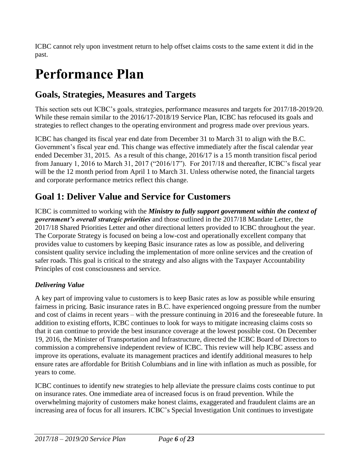ICBC cannot rely upon investment return to help offset claims costs to the same extent it did in the past.

# <span id="page-5-0"></span>**Performance Plan**

## <span id="page-5-1"></span>**Goals, Strategies, Measures and Targets**

This section sets out ICBC's goals, strategies, performance measures and targets for 2017/18-2019/20. While these remain similar to the 2016/17-2018/19 Service Plan, ICBC has refocused its goals and strategies to reflect changes to the operating environment and progress made over previous years.

ICBC has changed its fiscal year end date from December 31 to March 31 to align with the B.C. Government's fiscal year end. This change was effective immediately after the fiscal calendar year ended December 31, 2015. As a result of this change, 2016/17 is a 15 month transition fiscal period from January 1, 2016 to March 31, 2017 ("2016/17"). For 2017/18 and thereafter, ICBC's fiscal year will be the 12 month period from April 1 to March 31. Unless otherwise noted, the financial targets and corporate performance metrics reflect this change.

## **Goal 1: Deliver Value and Service for Customers**

ICBC is committed to working with the *Ministry to fully support government within the context of government's overall strategic priorities* and those outlined in the 2017/18 Mandate Letter, the 2017/18 Shared Priorities Letter and other directional letters provided to ICBC throughout the year. The Corporate Strategy is focused on being a low-cost and operationally excellent company that provides value to customers by keeping Basic insurance rates as low as possible, and delivering consistent quality service including the implementation of more online services and the creation of safer roads. This goal is critical to the strategy and also aligns with the Taxpayer Accountability Principles of cost consciousness and service.

### *Delivering Value*

A key part of improving value to customers is to keep Basic rates as low as possible while ensuring fairness in pricing. Basic insurance rates in B.C. have experienced ongoing pressure from the number and cost of claims in recent years – with the pressure continuing in 2016 and the foreseeable future. In addition to existing efforts, ICBC continues to look for ways to mitigate increasing claims costs so that it can continue to provide the best insurance coverage at the lowest possible cost. On December 19, 2016, the Minister of Transportation and Infrastructure, directed the ICBC Board of Directors to commission a comprehensive independent review of ICBC. This review will help ICBC assess and improve its operations, evaluate its management practices and identify additional measures to help ensure rates are affordable for British Columbians and in line with inflation as much as possible, for years to come.

ICBC continues to identify new strategies to help alleviate the pressure claims costs continue to put on insurance rates. One immediate area of increased focus is on fraud prevention. While the overwhelming majority of customers make honest claims, exaggerated and fraudulent claims are an increasing area of focus for all insurers. ICBC's Special Investigation Unit continues to investigate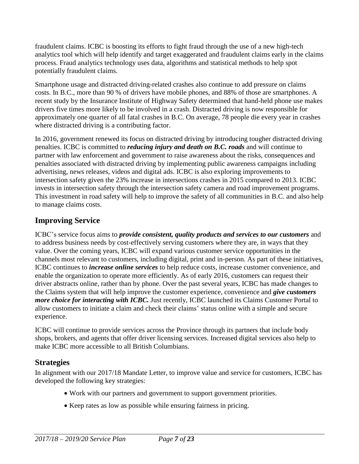fraudulent claims. ICBC is boosting its efforts to fight fraud through the use of a new high-tech analytics tool which will help identify and target exaggerated and fraudulent claims early in the claims process. Fraud analytics technology uses data, algorithms and statistical methods to help spot potentially fraudulent claims.

Smartphone usage and distracted driving-related crashes also continue to add pressure on claims costs. In B.C., more than 90 % of drivers have mobile phones, and 88% of those are smartphones. A recent study by the Insurance Institute of Highway Safety determined that hand-held phone use makes drivers five times more likely to be involved in a crash. Distracted driving is now responsible for approximately one quarter of all fatal crashes in B.C. On average, 78 people die every year in crashes where distracted driving is a contributing factor.

In 2016, government renewed its focus on distracted driving by introducing tougher distracted driving penalties. ICBC is committed to *reducing injury and death on B.C. roads* and will continue to partner with law enforcement and government to raise awareness about the risks, consequences and penalties associated with distracted driving by implementing public awareness campaigns including advertising, news releases, videos and digital ads. ICBC is also exploring improvements to intersection safety given the 23% increase in intersections crashes in 2015 compared to 2013. ICBC invests in intersection safety through the intersection safety camera and road improvement programs. This investment in road safety will help to improve the safety of all communities in B.C. and also help to manage claims costs.

### **Improving Service**

ICBC's service focus aims to *provide consistent, quality products and services to our customers* and to address business needs by cost-effectively serving customers where they are, in ways that they value. Over the coming years, ICBC will expand various customer service opportunities in the channels most relevant to customers, including digital, print and in-person. As part of these initiatives, ICBC continues to *increase online services* to help reduce costs, increase customer convenience, and enable the organization to operate more efficiently. As of early 2016, customers can request their driver abstracts online, rather than by phone. Over the past several years, ICBC has made changes to the Claims system that will help improve the customer experience, convenience and *give customers more choice for interacting with ICBC.* Just recently, ICBC launched its Claims Customer Portal to allow customers to initiate a claim and check their claims' status online with a simple and secure experience.

ICBC will continue to provide services across the Province through its partners that include body shops, brokers, and agents that offer driver licensing services. Increased digital services also help to make ICBC more accessible to all British Columbians.

### **Strategies**

In alignment with our 2017/18 Mandate Letter, to improve value and service for customers, ICBC has developed the following key strategies:

- Work with our partners and government to support government priorities.
- Keep rates as low as possible while ensuring fairness in pricing.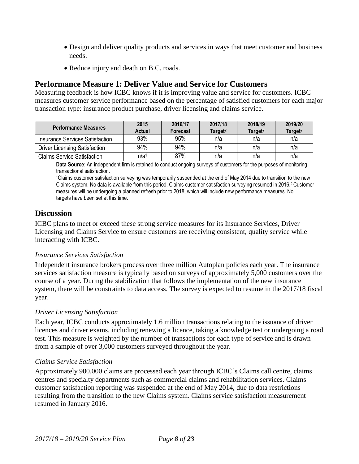- Design and deliver quality products and services in ways that meet customer and business needs.
- Reduce injury and death on B.C. roads.

#### **Performance Measure 1: Deliver Value and Service for Customers**

Measuring feedback is how ICBC knows if it is improving value and service for customers. ICBC measures customer service performance based on the percentage of satisfied customers for each major transaction type: insurance product purchase, driver licensing and claims service.

| <b>Performance Measures</b>          | 2015<br>Actual   | 2016/17<br><b>Forecast</b> | 2017/18<br>Target <sup>2</sup> | 2018/19<br>Target <sup>2</sup> | 2019/20<br>Target <sup>2</sup> |
|--------------------------------------|------------------|----------------------------|--------------------------------|--------------------------------|--------------------------------|
| Insurance Services Satisfaction      | 93%              | 95%                        | n/a                            | n/a                            | n/a                            |
| <b>Driver Licensing Satisfaction</b> | 94%              | 94%                        | n/a                            | n/a                            | n/a                            |
| <b>Claims Service Satisfaction</b>   | n/a <sup>1</sup> | 87%                        | n/a                            | n/a                            | n/a                            |

**Data Source**: An independent firm is retained to conduct ongoing surveys of customers for the purposes of monitoring transactional satisfaction.

<sup>1</sup>Claims customer satisfaction surveying was temporarily suspended at the end of May 2014 due to transition to the new Claims system. No data is available from this period. Claims customer satisfaction surveying resumed in 2016.<sup>2</sup> Customer measures will be undergoing a planned refresh prior to 2018, which will include new performance measures. No targets have been set at this time.

#### **Discussion**

ICBC plans to meet or exceed these strong service measures for its Insurance Services, Driver Licensing and Claims Service to ensure customers are receiving consistent, quality service while interacting with ICBC.

#### *Insurance Services Satisfaction*

Independent insurance brokers process over three million Autoplan policies each year. The insurance services satisfaction measure is typically based on surveys of approximately 5,000 customers over the course of a year. During the stabilization that follows the implementation of the new insurance system, there will be constraints to data access. The survey is expected to resume in the 2017/18 fiscal year.

#### *Driver Licensing Satisfaction*

Each year, ICBC conducts approximately 1.6 million transactions relating to the issuance of driver licences and driver exams, including renewing a licence, taking a knowledge test or undergoing a road test. This measure is weighted by the number of transactions for each type of service and is drawn from a sample of over 3,000 customers surveyed throughout the year.

#### *Claims Service Satisfaction*

Approximately 900,000 claims are processed each year through ICBC's Claims call centre, claims centres and specialty departments such as commercial claims and rehabilitation services. Claims customer satisfaction reporting was suspended at the end of May 2014, due to data restrictions resulting from the transition to the new Claims system. Claims service satisfaction measurement resumed in January 2016.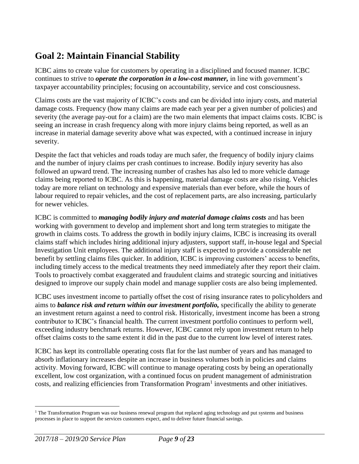## **Goal 2: Maintain Financial Stability**

ICBC aims to create value for customers by operating in a disciplined and focused manner. ICBC continues to strive to *operate the corporation in a low-cost manner,* in line with government's taxpayer accountability principles; focusing on accountability, service and cost consciousness.

Claims costs are the vast majority of ICBC's costs and can be divided into injury costs, and material damage costs. Frequency (how many claims are made each year per a given number of policies) and severity (the average pay-out for a claim) are the two main elements that impact claims costs. ICBC is seeing an increase in crash frequency along with more injury claims being reported, as well as an increase in material damage severity above what was expected, with a continued increase in injury severity.

Despite the fact that vehicles and roads today are much safer, the frequency of bodily injury claims and the number of injury claims per crash continues to increase. Bodily injury severity has also followed an upward trend. The increasing number of crashes has also led to more vehicle damage claims being reported to ICBC. As this is happening, material damage costs are also rising. Vehicles today are more reliant on technology and expensive materials than ever before, while the hours of labour required to repair vehicles, and the cost of replacement parts, are also increasing, particularly for newer vehicles.

ICBC is committed to *managing bodily injury and material damage claims costs* and has been working with government to develop and implement short and long term strategies to mitigate the growth in claims costs. To address the growth in bodily injury claims, ICBC is increasing its overall claims staff which includes hiring additional injury adjusters, support staff, in-house legal and Special Investigation Unit employees. The additional injury staff is expected to provide a considerable net benefit by settling claims files quicker. In addition, ICBC is improving customers' access to benefits, including timely access to the medical treatments they need immediately after they report their claim. Tools to proactively combat exaggerated and fraudulent claims and strategic sourcing and initiatives designed to improve our supply chain model and manage supplier costs are also being implemented.

ICBC uses investment income to partially offset the cost of rising insurance rates to policyholders and aims to *balance risk and return within our investment portfolio,* specifically the ability to generate an investment return against a need to control risk. Historically, investment income has been a strong contributor to ICBC's financial health. The current investment portfolio continues to perform well, exceeding industry benchmark returns. However, ICBC cannot rely upon investment return to help offset claims costs to the same extent it did in the past due to the current low level of interest rates.

ICBC has kept its controllable operating costs flat for the last number of years and has managed to absorb inflationary increases despite an increase in business volumes both in policies and claims activity. Moving forward, ICBC will continue to manage operating costs by being an operationally excellent, low cost organization, with a continued focus on prudent management of administration costs, and realizing efficiencies from Transformation Program<sup>1</sup> investments and other initiatives.

 $\overline{a}$ 

 $1$  The Transformation Program was our business renewal program that replaced aging technology and put systems and business processes in place to support the services customers expect, and to deliver future financial savings.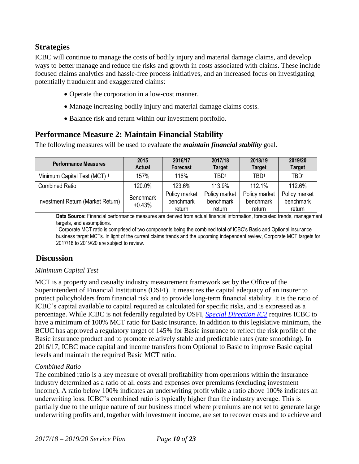### **Strategies**

ICBC will continue to manage the costs of bodily injury and material damage claims, and develop ways to better manage and reduce the risks and growth in costs associated with claims. These include focused claims analytics and hassle-free process initiatives, and an increased focus on investigating potentially fraudulent and exaggerated claims:

- Operate the corporation in a low-cost manner.
- Manage increasing bodily injury and material damage claims costs.
- Balance risk and return within our investment portfolio.

### **Performance Measure 2: Maintain Financial Stability**

The following measures will be used to evaluate the *maintain financial stability* goal.

| <b>Performance Measures</b>             | 2015<br><b>Actual</b>        | 2016/17<br><b>Forecast</b>           | 2017/18<br><b>Target</b>             | 2018/19<br><b>Target</b>             | 2019/20<br><b>Target</b>             |
|-----------------------------------------|------------------------------|--------------------------------------|--------------------------------------|--------------------------------------|--------------------------------------|
| Minimum Capital Test (MCT) <sup>1</sup> | 157%                         | 116%                                 | TBD <sup>1</sup>                     | TBD <sup>1</sup>                     | TBD <sup>1</sup>                     |
| <b>Combined Ratio</b>                   | 120.0%                       | 123.6%                               | 113.9%                               | $112.1\%$                            | 112.6%                               |
| Investment Return (Market Return)       | <b>Benchmark</b><br>$+0.43%$ | Policy market<br>benchmark<br>return | Policy market<br>benchmark<br>return | Policy market<br>benchmark<br>return | Policy market<br>benchmark<br>return |

**Data Source:** Financial performance measures are derived from actual financial information, forecasted trends, management targets, and assumptions.

<sup>1</sup>Corporate MCT ratio is comprised of two components being the combined total of ICBC's Basic and Optional insurance business target MCTs. In light of the current claims trends and the upcoming independent review, Corporate MCT targets for 2017/18 to 2019/20 are subject to review.

### **Discussion**

#### *Minimum Capital Test*

MCT is a property and casualty industry measurement framework set by the Office of the Superintendent of Financial Institutions (OSFI). It measures the capital adequacy of an insurer to protect policyholders from financial risk and to provide long-term financial stability. It is the ratio of ICBC's capital available to capital required as calculated for specific risks, and is expressed as a percentage. While ICBC is not federally regulated by OSFI, *[Special Direction IC2](http://www.bclaws.ca/civix/document/id/complete/statreg/307_2004/search/insurance%20corporation%20act%20special%20direction%20AND%20CIVIX_DOCUMENT_ANCESTORS:statreg?3#hit1)* requires ICBC to have a minimum of 100% MCT ratio for Basic insurance. In addition to this legislative minimum, the BCUC has approved a regulatory target of 145% for Basic insurance to reflect the risk profile of the Basic insurance product and to promote relatively stable and predictable rates (rate smoothing). In 2016/17, ICBC made capital and income transfers from Optional to Basic to improve Basic capital levels and maintain the required Basic MCT ratio.

#### *Combined Ratio*

The combined ratio is a key measure of overall profitability from operations within the insurance industry determined as a ratio of all costs and expenses over premiums (excluding investment income). A ratio below 100% indicates an underwriting profit while a ratio above 100% indicates an underwriting loss. ICBC's combined ratio is typically higher than the industry average. This is partially due to the unique nature of our business model where premiums are not set to generate large underwriting profits and, together with investment income, are set to recover costs and to achieve and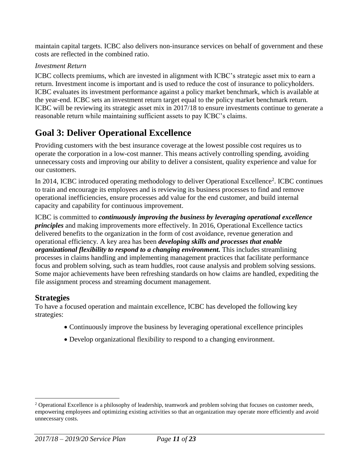maintain capital targets. ICBC also delivers non-insurance services on behalf of government and these costs are reflected in the combined ratio.

#### *Investment Return*

ICBC collects premiums, which are invested in alignment with ICBC's strategic asset mix to earn a return. Investment income is important and is used to reduce the cost of insurance to policyholders. ICBC evaluates its investment performance against a policy market benchmark, which is available at the year-end. ICBC sets an investment return target equal to the policy market benchmark return*.* ICBC will be reviewing its strategic asset mix in 2017/18 to ensure investments continue to generate a reasonable return while maintaining sufficient assets to pay ICBC's claims.

## **Goal 3: Deliver Operational Excellence**

Providing customers with the best insurance coverage at the lowest possible cost requires us to operate the corporation in a low-cost manner. This means actively controlling spending, avoiding unnecessary costs and improving our ability to deliver a consistent, quality experience and value for our customers.

In 2014, ICBC introduced operating methodology to deliver Operational Excellence<sup>2</sup>. ICBC continues to train and encourage its employees and is reviewing its business processes to find and remove operational inefficiencies, ensure processes add value for the end customer, and build internal capacity and capability for continuous improvement.

ICBC is committed to *continuously improving the business by leveraging operational excellence principles* and making improvements more effectively. In 2016, Operational Excellence tactics delivered benefits to the organization in the form of cost avoidance, revenue generation and operational efficiency. A key area has been *developing skills and processes that enable organizational flexibility to respond to a changing environment.* This includes streamlining processes in claims handling and implementing management practices that facilitate performance focus and problem solving, such as team huddles, root cause analysis and problem solving sessions. Some major achievements have been refreshing standards on how claims are handled, expediting the file assignment process and streaming document management.

#### **Strategies**

 $\overline{a}$ 

To have a focused operation and maintain excellence, ICBC has developed the following key strategies:

- Continuously improve the business by leveraging operational excellence principles
- Develop organizational flexibility to respond to a changing environment.

 $2$  Operational Excellence is a philosophy of leadership, teamwork and problem solving that focuses on customer needs, empowering employees and optimizing existing activities so that an organization may operate more efficiently and avoid unnecessary costs.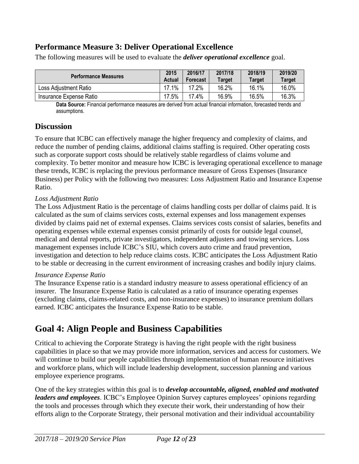### **Performance Measure 3: Deliver Operational Excellence**

| <b>Performance Measures</b> | 2015<br>Actual | 2016/17<br>Forecast | 2017/18<br>Target | 2018/19<br>Target | 2019/20<br><b>Target</b> |
|-----------------------------|----------------|---------------------|-------------------|-------------------|--------------------------|
| Loss Adjustment Ratio       | 17.1%          | 17.2%               | 16.2%             | 16.1%             | 16.0%                    |
| Insurance Expense Ratio     | 17.5%          | 17.4%               | 16.9%             | 16.5%             | 16.3%                    |

The following measures will be used to evaluate the *deliver operational excellence* goal.

**Data Source:** Financial performance measures are derived from actual financial information, forecasted trends and assumptions.

#### **Discussion**

To ensure that ICBC can effectively manage the higher frequency and complexity of claims, and reduce the number of pending claims, additional claims staffing is required. Other operating costs such as corporate support costs should be relatively stable regardless of claims volume and complexity. To better monitor and measure how ICBC is leveraging operational excellence to manage these trends, ICBC is replacing the previous performance measure of Gross Expenses (Insurance Business) per Policy with the following two measures: Loss Adjustment Ratio and Insurance Expense Ratio.

#### *Loss Adjustment Ratio*

The Loss Adjustment Ratio is the percentage of claims handling costs per dollar of claims paid. It is calculated as the sum of claims services costs, external expenses and loss management expenses divided by claims paid net of external expenses. Claims services costs consist of salaries, benefits and operating expenses while external expenses consist primarily of costs for outside legal counsel, medical and dental reports, private investigators, independent adjusters and towing services. Loss management expenses include ICBC's SIU, which covers auto crime and fraud prevention, investigation and detection to help reduce claims costs. ICBC anticipates the Loss Adjustment Ratio to be stable or decreasing in the current environment of increasing crashes and bodily injury claims.

#### *Insurance Expense Ratio*

The Insurance Expense ratio is a standard industry measure to assess operational efficiency of an insurer. The Insurance Expense Ratio is calculated as a ratio of insurance operating expenses (excluding claims, claims-related costs, and non-insurance expenses) to insurance premium dollars earned. ICBC anticipates the Insurance Expense Ratio to be stable.

## **Goal 4: Align People and Business Capabilities**

Critical to achieving the Corporate Strategy is having the right people with the right business capabilities in place so that we may provide more information, services and access for customers. We will continue to build our people capabilities through implementation of human resource initiatives and workforce plans, which will include leadership development, succession planning and various employee experience programs.

One of the key strategies within this goal is to *develop accountable, aligned, enabled and motivated leaders and employees*. ICBC's Employee Opinion Survey captures employees' opinions regarding the tools and processes through which they execute their work, their understanding of how their efforts align to the Corporate Strategy, their personal motivation and their individual accountability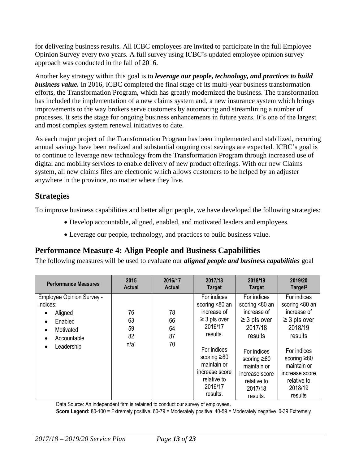for delivering business results*.* All ICBC employees are invited to participate in the full Employee Opinion Survey every two years. A full survey using ICBC's updated employee opinion survey approach was conducted in the fall of 2016.

Another key strategy within this goal is to *leverage our people, technology, and practices to build business value.* In 2016, ICBC completed the final stage of its multi-year business transformation efforts, the Transformation Program, which has greatly modernized the business. The transformation has included the implementation of a new claims system and, a new insurance system which brings improvements to the way brokers serve customers by automating and streamlining a number of processes. It sets the stage for ongoing business enhancements in future years. It's one of the largest and most complex system renewal initiatives to date.

As each major project of the Transformation Program has been implemented and stabilized, recurring annual savings have been realized and substantial ongoing cost savings are expected. ICBC's goal is to continue to leverage new technology from the Transformation Program through increased use of digital and mobility services to enable delivery of new product offerings. With our new Claims system, all new claims files are electronic which allows customers to be helped by an adjuster anywhere in the province, no matter where they live.

### **Strategies**

To improve business capabilities and better align people, we have developed the following strategies:

- Develop accountable, aligned, enabled, and motivated leaders and employees.
- Leverage our people, technology, and practices to build business value.

## **Performance Measure 4: Align People and Business Capabilities**

The following measures will be used to evaluate our *aligned people and business capabilities* goal

| <b>Performance Measures</b>                                                                                                                              | 2015                                     | 2016/17                    | 2017/18                                                                                                                                                                                             | 2018/19                                                                                                                                                                                            | 2019/20                                                                                                                                                                                           |
|----------------------------------------------------------------------------------------------------------------------------------------------------------|------------------------------------------|----------------------------|-----------------------------------------------------------------------------------------------------------------------------------------------------------------------------------------------------|----------------------------------------------------------------------------------------------------------------------------------------------------------------------------------------------------|---------------------------------------------------------------------------------------------------------------------------------------------------------------------------------------------------|
|                                                                                                                                                          | Actual                                   | <b>Actual</b>              | <b>Target</b>                                                                                                                                                                                       | <b>Target</b>                                                                                                                                                                                      | Target <sup>2</sup>                                                                                                                                                                               |
| <b>Employee Opinion Survey -</b><br>Indices:<br>Aligned<br>٠<br>Enabled<br>$\bullet$<br>Motivated<br>$\bullet$<br>Accountable<br>Leadership<br>$\bullet$ | 76<br>63<br>59<br>82<br>n/a <sup>1</sup> | 78<br>66<br>64<br>87<br>70 | For indices<br>scoring <80 an<br>increase of<br>$\geq$ 3 pts over<br>2016/17<br>results.<br>For indices<br>scoring $\geq 80$<br>maintain or<br>increase score<br>relative to<br>2016/17<br>results. | For indices<br>scoring <80 an<br>increase of<br>$\geq$ 3 pts over<br>2017/18<br>results<br>For indices<br>scoring $\geq 80$<br>maintain or<br>increase score<br>relative to<br>2017/18<br>results. | For indices<br>scoring <80 an<br>increase of<br>$\geq$ 3 pts over<br>2018/19<br>results<br>For indices<br>scoring $\geq 80$<br>maintain or<br>increase score<br>relative to<br>2018/19<br>results |

Data Source: An independent firm is retained to conduct our survey of employees.

**Score Legend:** 80-100 = Extremely positive. 60-79 = Moderately positive. 40-59 = Moderately negative. 0-39 Extremely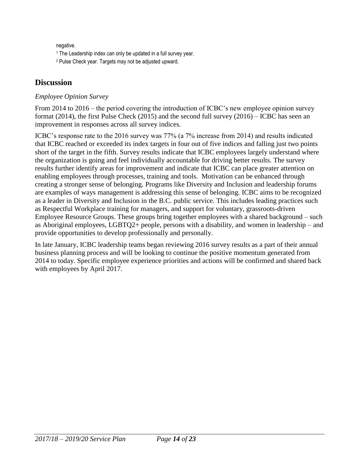negative.

<sup>1</sup> The Leadership index can only be updated in a full survey year.

<sup>2</sup> Pulse Check year. Targets may not be adjusted upward.

### **Discussion**

#### *Employee Opinion Survey*

From 2014 to 2016 – the period covering the introduction of ICBC's new employee opinion survey format (2014), the first Pulse Check (2015) and the second full survey (2016) – ICBC has seen an improvement in responses across all survey indices.

ICBC's response rate to the 2016 survey was 77% (a 7% increase from 2014) and results indicated that ICBC reached or exceeded its index targets in four out of five indices and falling just two points short of the target in the fifth. Survey results indicate that ICBC employees largely understand where the organization is going and feel individually accountable for driving better results. The survey results further identify areas for improvement and indicate that ICBC can place greater attention on enabling employees through processes, training and tools. Motivation can be enhanced through creating a stronger sense of belonging. Programs like Diversity and Inclusion and leadership forums are examples of ways management is addressing this sense of belonging. ICBC aims to be recognized as a leader in Diversity and Inclusion in the B.C. public service. This includes leading practices such as Respectful Workplace training for managers, and support for voluntary, grassroots-driven Employee Resource Groups. These groups bring together employees with a shared background – such as Aboriginal employees, LGBTQ2+ people, persons with a disability, and women in leadership – and provide opportunities to develop professionally and personally.

In late January, ICBC leadership teams began reviewing 2016 survey results as a part of their annual business planning process and will be looking to continue the positive momentum generated from 2014 to today. Specific employee experience priorities and actions will be confirmed and shared back with employees by April 2017.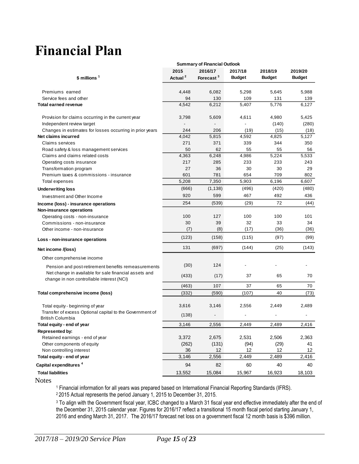# <span id="page-14-0"></span>**Financial Plan**

|                                                                                                    | <b>Summary of Financial Outlook</b> |                       |               |               |               |  |  |  |
|----------------------------------------------------------------------------------------------------|-------------------------------------|-----------------------|---------------|---------------|---------------|--|--|--|
|                                                                                                    | 2015                                | 2016/17               | 2017/18       | 2018/19       | 2019/20       |  |  |  |
| $$$ millions $1$                                                                                   | Actual <sup>2</sup>                 | Forecast <sup>3</sup> | <b>Budget</b> | <b>Budget</b> | <b>Budget</b> |  |  |  |
|                                                                                                    |                                     |                       |               |               |               |  |  |  |
| Premiums earned                                                                                    | 4,448                               | 6,082                 | 5,298         | 5,645         | 5,988         |  |  |  |
| Service fees and other                                                                             | 94                                  | 130                   | 109           | 131           | 139           |  |  |  |
| <b>Total earned revenue</b>                                                                        | 4,542                               | 6,212                 | 5.407         | 5,776         | 6,127         |  |  |  |
| Provision for claims occurring in the current year                                                 | 3,798                               | 5,609                 | 4,611         | 4,980         | 5,425         |  |  |  |
| Independent review target                                                                          |                                     |                       |               | (140)         | (280)         |  |  |  |
| Changes in estimates for losses occurring in prior years                                           | 244                                 | 206                   | (19)          | (15)          | (18)          |  |  |  |
| Net claims incurred                                                                                | 4,042                               | 5,815                 | 4,592         | 4,825         | 5,127         |  |  |  |
| <b>Claims services</b>                                                                             | 271                                 | 371                   | 339           | 344           | 350           |  |  |  |
| Road safety & loss management services                                                             | 50                                  | 62                    | 55            | 55            | 56            |  |  |  |
| Claims and claims related costs                                                                    | 4,363                               | 6,248                 | 4,986         | 5,224         | 5,533         |  |  |  |
| Operating costs insurance                                                                          | 217                                 | 285                   | 233           | 233           | 243           |  |  |  |
| Transformation program                                                                             | 27                                  | 36                    | 30            | 30            | 29            |  |  |  |
| Premium taxes & commissions - insurance                                                            | 601                                 | 781                   | 654           | 709           | 802           |  |  |  |
| Total expenses                                                                                     | 5,208                               | 7,350                 | 5,903         | 6,196         | 6,607         |  |  |  |
| <b>Underwriting loss</b>                                                                           | (666)                               | (1, 138)              | (496)         | (420)         | (480)         |  |  |  |
| Investment and Other Income                                                                        | 920                                 | 599                   | 467           | 492           | 436           |  |  |  |
| Income (loss) - insurance operations                                                               | 254                                 | (539)                 | (29)          | 72            | (44)          |  |  |  |
| Non-insurance operations                                                                           |                                     |                       |               |               |               |  |  |  |
| Operating costs - non-insurance                                                                    | 100                                 | 127                   | 100           | 100           | 101           |  |  |  |
| Commissions - non-insurance                                                                        | 30                                  | 39                    | 32            | 33            | 34            |  |  |  |
| Other income - non-insurance                                                                       | (7)                                 | (8)                   | (17)          | (36)          | (36)          |  |  |  |
|                                                                                                    | (123)                               | (158)                 | (115)         | (97)          | (99)          |  |  |  |
| Loss - non-insurance operations                                                                    | 131                                 | (697)                 | (144)         | (25)          | (143)         |  |  |  |
| Net income /(loss)                                                                                 |                                     |                       |               |               |               |  |  |  |
| Other comprehensive income                                                                         |                                     |                       |               |               |               |  |  |  |
| Pension and post-retirement benefits remeasurements                                                | (30)                                | 124                   |               |               |               |  |  |  |
| Net change in available for sale financial assets and<br>change in non controllable interest (NCI) | (433)                               | (17)                  | 37            | 65            | 70            |  |  |  |
|                                                                                                    | (463)                               | 107                   | 37            | 65            | 70            |  |  |  |
| Total comprehensive income (loss)                                                                  | (332)                               | (590)                 | (107)         | 40            | (73)          |  |  |  |
|                                                                                                    |                                     |                       |               |               |               |  |  |  |
| Total equity - beginning of year                                                                   | 3,616                               | 3,146                 | 2,556         | 2,449         | 2,489         |  |  |  |
| Transfer of excess Optional capital to the Government of<br><b>British Columbia</b>                | (138)                               |                       |               |               |               |  |  |  |
| Total equity - end of year                                                                         | 3.146                               | 2.556                 | 2.449         | 2.489         | 2,416         |  |  |  |
| <b>Represented by:</b>                                                                             |                                     |                       |               |               |               |  |  |  |
| Retained earnings - end of year                                                                    | 3,372                               | 2,675                 | 2,531         | 2,506         | 2,363         |  |  |  |
| Other components of equity                                                                         | (262)                               | (131)                 | (94)          | (29)          | 41            |  |  |  |
| Non controlling interest                                                                           | 36                                  | 12                    | 12            | 12            | 12            |  |  |  |
| Total equity - end of year                                                                         | 3,146                               | 2,556                 | 2,449         | 2,489         | 2,416         |  |  |  |
|                                                                                                    |                                     |                       |               |               |               |  |  |  |
| Capital expenditures <sup>4</sup>                                                                  | 94                                  | 82                    | 60            | 40            | 40            |  |  |  |
| <b>Total liabilities</b>                                                                           | 13,552                              | 15,084                | 15,967        | 16,923        | 18,103        |  |  |  |

<span id="page-14-1"></span>Notes

<sup>1</sup> Financial information for all years was prepared based on International Financial Reporting Standards (IFRS).

<sup>2</sup>2015 Actual represents the period January 1, 2015 to December 31, 2015.

<sup>3</sup> To align with the Government fiscal year, ICBC changed to a March 31 fiscal year end effective immediately after the end of the December 31, 2015 calendar year. Figures for 2016/17 reflect a transitional 15 month fiscal period starting January 1, 2016 and ending March 31, 2017. The 2016/17 forecast net loss on a government fiscal 12 month basis is \$396 million.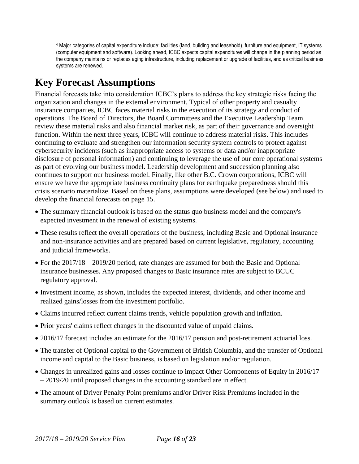<sup>4</sup> Major categories of capital expenditure include: facilities (land, building and leasehold), furniture and equipment, IT systems (computer equipment and software). Looking ahead, ICBC expects capital expenditures will change in the planning period as the company maintains or replaces aging infrastructure, including replacement or upgrade of facilities, and as critical business systems are renewed.

## <span id="page-15-0"></span>**Key Forecast Assumptions**

Financial forecasts take into consideration ICBC's plans to address the key strategic risks facing the organization and changes in the external environment. Typical of other property and casualty insurance companies, ICBC faces material risks in the execution of its strategy and conduct of operations. The Board of Directors, the Board Committees and the Executive Leadership Team review these material risks and also financial market risk, as part of their governance and oversight function. Within the next three years, ICBC will continue to address material risks. This includes continuing to evaluate and strengthen our information security system controls to protect against cybersecurity incidents (such as inappropriate access to systems or data and/or inappropriate disclosure of personal information) and continuing to leverage the use of our core operational systems as part of evolving our business model. Leadership development and succession planning also continues to support our business model. Finally, like other B.C. Crown corporations, ICBC will ensure we have the appropriate business continuity plans for earthquake preparedness should this crisis scenario materialize. Based on these plans, assumptions were developed (see below) and used to develop the financial forecasts on page 15.

- The summary financial outlook is based on the status quo business model and the company's expected investment in the renewal of existing systems.
- These results reflect the overall operations of the business, including Basic and Optional insurance and non-insurance activities and are prepared based on current legislative, regulatory, accounting and judicial frameworks.
- For the 2017/18 2019/20 period, rate changes are assumed for both the Basic and Optional insurance businesses. Any proposed changes to Basic insurance rates are subject to BCUC regulatory approval.
- Investment income, as shown, includes the expected interest, dividends, and other income and realized gains/losses from the investment portfolio.
- Claims incurred reflect current claims trends, vehicle population growth and inflation.
- Prior years' claims reflect changes in the discounted value of unpaid claims.
- 2016/17 forecast includes an estimate for the 2016/17 pension and post-retirement actuarial loss.
- The transfer of Optional capital to the Government of British Columbia, and the transfer of Optional income and capital to the Basic business, is based on legislation and/or regulation.
- Changes in unrealized gains and losses continue to impact Other Components of Equity in 2016/17 – 2019/20 until proposed changes in the accounting standard are in effect.
- The amount of Driver Penalty Point premiums and/or Driver Risk Premiums included in the summary outlook is based on current estimates.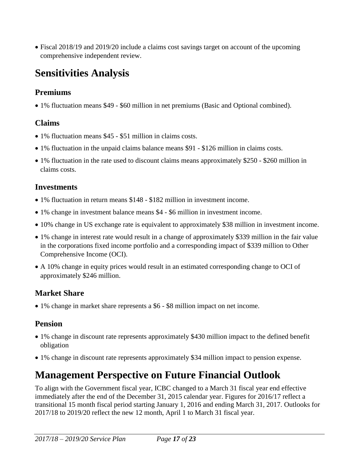<span id="page-16-0"></span> Fiscal 2018/19 and 2019/20 include a claims cost savings target on account of the upcoming comprehensive independent review.

## **Sensitivities Analysis**

### **Premiums**

1% fluctuation means \$49 - \$60 million in net premiums (Basic and Optional combined).

## **Claims**

- 1% fluctuation means \$45 \$51 million in claims costs.
- 1% fluctuation in the unpaid claims balance means \$91 \$126 million in claims costs.
- 1% fluctuation in the rate used to discount claims means approximately \$250 \$260 million in claims costs.

#### **Investments**

- 1% fluctuation in return means \$148 \$182 million in investment income.
- 1% change in investment balance means \$4 \$6 million in investment income.
- 10% change in US exchange rate is equivalent to approximately \$38 million in investment income.
- 1% change in interest rate would result in a change of approximately \$339 million in the fair value in the corporations fixed income portfolio and a corresponding impact of \$339 million to Other Comprehensive Income (OCI).
- A 10% change in equity prices would result in an estimated corresponding change to OCI of approximately \$246 million.

## **Market Share**

1% change in market share represents a \$6 - \$8 million impact on net income.

### **Pension**

- 1% change in discount rate represents approximately \$430 million impact to the defined benefit obligation
- 1% change in discount rate represents approximately \$34 million impact to pension expense.

## <span id="page-16-1"></span>**Management Perspective on Future Financial Outlook**

To align with the Government fiscal year, ICBC changed to a March 31 fiscal year end effective immediately after the end of the December 31, 2015 calendar year. Figures for 2016/17 reflect a transitional 15 month fiscal period starting January 1, 2016 and ending March 31, 2017. Outlooks for 2017/18 to 2019/20 reflect the new 12 month, April 1 to March 31 fiscal year.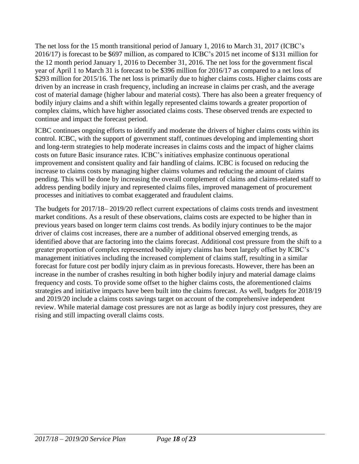The net loss for the 15 month transitional period of January 1, 2016 to March 31, 2017 (ICBC's 2016/17) is forecast to be \$697 million, as compared to ICBC's 2015 net income of \$131 million for the 12 month period January 1, 2016 to December 31, 2016. The net loss for the government fiscal year of April 1 to March 31 is forecast to be \$396 million for 2016/17 as compared to a net loss of \$293 million for 2015/16. The net loss is primarily due to higher claims costs. Higher claims costs are driven by an increase in crash frequency, including an increase in claims per crash, and the average cost of material damage (higher labour and material costs). There has also been a greater frequency of bodily injury claims and a shift within legally represented claims towards a greater proportion of complex claims, which have higher associated claims costs. These observed trends are expected to continue and impact the forecast period.

ICBC continues ongoing efforts to identify and moderate the drivers of higher claims costs within its control. ICBC, with the support of government staff, continues developing and implementing short and long-term strategies to help moderate increases in claims costs and the impact of higher claims costs on future Basic insurance rates. ICBC's initiatives emphasize continuous operational improvement and consistent quality and fair handling of claims. ICBC is focused on reducing the increase to claims costs by managing higher claims volumes and reducing the amount of claims pending. This will be done by increasing the overall complement of claims and claims-related staff to address pending bodily injury and represented claims files, improved management of procurement processes and initiatives to combat exaggerated and fraudulent claims.

<span id="page-17-0"></span>The budgets for 2017/18– 2019/20 reflect current expectations of claims costs trends and investment market conditions. As a result of these observations, claims costs are expected to be higher than in previous years based on longer term claims cost trends. As bodily injury continues to be the major driver of claims cost increases, there are a number of additional observed emerging trends, as identified above that are factoring into the claims forecast. Additional cost pressure from the shift to a greater proportion of complex represented bodily injury claims has been largely offset by ICBC's management initiatives including the increased complement of claims staff, resulting in a similar forecast for future cost per bodily injury claim as in previous forecasts. However, there has been an increase in the number of crashes resulting in both higher bodily injury and material damage claims frequency and costs. To provide some offset to the higher claims costs, the aforementioned claims strategies and initiative impacts have been built into the claims forecast. As well, budgets for 2018/19 and 2019/20 include a claims costs savings target on account of the comprehensive independent review. While material damage cost pressures are not as large as bodily injury cost pressures, they are rising and still impacting overall claims costs.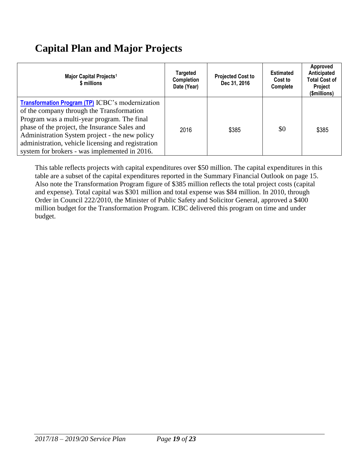## **Capital Plan and Major Projects**

| Major Capital Projects <sup>1</sup><br>\$ millions                                                                                                                                                                                                                                                                                                            | <b>Targeted</b><br><b>Completion</b><br>Date (Year) | <b>Projected Cost to</b><br>Dec 31, 2016 | <b>Estimated</b><br>Cost to<br>Complete | Approved<br>Anticipated<br><b>Total Cost of</b><br>Project<br>(\$millions) |
|---------------------------------------------------------------------------------------------------------------------------------------------------------------------------------------------------------------------------------------------------------------------------------------------------------------------------------------------------------------|-----------------------------------------------------|------------------------------------------|-----------------------------------------|----------------------------------------------------------------------------|
| <b>Transformation Program (TP)</b> ICBC's modernization<br>of the company through the Transformation<br>Program was a multi-year program. The final<br>phase of the project, the Insurance Sales and<br>Administration System project - the new policy<br>administration, vehicle licensing and registration<br>system for brokers - was implemented in 2016. | 2016                                                | \$385                                    | \$0                                     | \$385                                                                      |

<span id="page-18-0"></span>This table reflects projects with capital expenditures over \$50 million. The capital expenditures in this table are a subset of the capital expenditures reported in the Summary Financial Outlook [on page 15.](#page-14-1) Also note the Transformation Program figure of \$385 million reflects the total project costs (capital and expense). Total capital was \$301 million and total expense was \$84 million. In 2010, through Order in Council 222/2010, the Minister of Public Safety and Solicitor General, approved a \$400 million budget for the Transformation Program. ICBC delivered this program on time and under budget.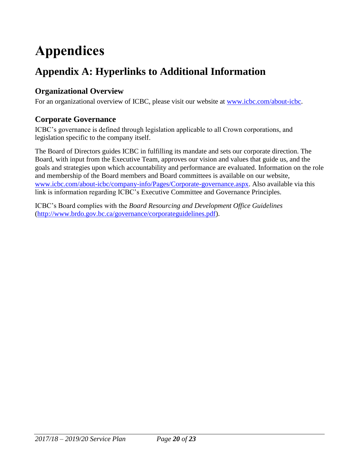# **Appendices**

## <span id="page-19-0"></span>**Appendix A: Hyperlinks to Additional Information**

### **Organizational Overview**

For an organizational overview of ICBC, please visit our website at [www.icbc.com/about-icbc.](http://www.icbc.com/about-icbc/company-info/Pages/default.aspx)

#### **Corporate Governance**

ICBC's governance is defined through legislation applicable to all Crown corporations, and legislation specific to the company itself.

The Board of Directors guides ICBC in fulfilling its mandate and sets our corporate direction. The Board, with input from the Executive Team, approves our vision and values that guide us, and the goals and strategies upon which accountability and performance are evaluated. Information on the role and membership of the Board members and Board committees is available on our website, [www.icbc.com/about-icbc/company-info/Pages/Corporate-governance.aspx.](http://www.icbc.com/about-icbc/company-info/Pages/Corporate-governance.aspx) Also available via this link is information regarding ICBC's Executive Committee and Governance Principles.

ICBC's Board complies with the *Board Resourcing and Development Office Guidelines* [\(http://www.brdo.gov.bc.ca/governance/corporateguidelines.pdf\)](http://www.brdo.gov.bc.ca/governance/corporateguidelines.pdf).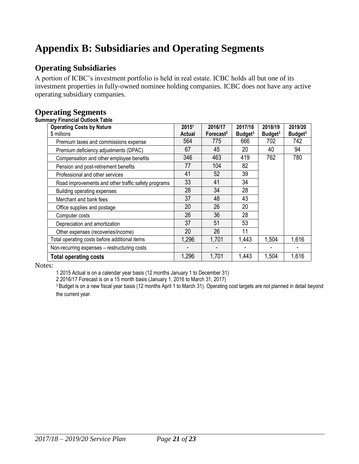## <span id="page-20-0"></span>**Appendix B: Subsidiaries and Operating Segments**

#### **Operating Subsidiaries**

A portion of ICBC's investment portfolio is held in real estate. ICBC holds all but one of its investment properties in fully-owned nominee holding companies. ICBC does not have any active operating subsidiary companies.

#### **Operating Segments**

#### **Summary Financial Outlook Table**

| <b>Operating Costs by Nature</b>                    | 20151  | 2016/17               | 2017/18             | 2018/19             | 2019/20             |
|-----------------------------------------------------|--------|-----------------------|---------------------|---------------------|---------------------|
| \$ millions                                         | Actual | Forecast <sup>2</sup> | Budget <sup>3</sup> | Budget <sup>3</sup> | Budget <sup>3</sup> |
| Premium taxes and commissions expense               | 564    | 775                   | 666                 | 702                 | 742                 |
| Premium deficiency adjustments (DPAC)               | 67     | 45                    | 20                  | 40                  | 94                  |
| Compensation and other employee benefits            | 346    | 463                   | 419                 | 762                 | 780                 |
| Pension and post-retirement benefits                | 77     | 104                   | 82                  |                     |                     |
| Professional and other services                     | 41     | 52                    | 39                  |                     |                     |
| Road improvements and other traffic safety programs | 33     | 41                    | 34                  |                     |                     |
| Building operating expenses                         | 28     | 34                    | 28                  |                     |                     |
| Merchant and bank fees                              | 37     | 48                    | 43                  |                     |                     |
| Office supplies and postage                         | 20     | 26                    | 20                  |                     |                     |
| Computer costs                                      | 26     | 36                    | 28                  |                     |                     |
| Depreciation and amortization                       | 37     | 51                    | 53                  |                     |                     |
| Other expenses (recoveries/income)                  | 20     | 26                    | 11                  |                     |                     |
| Total operating costs before additional items       | 1,296  | 1,701                 | 1,443               | 1,504               | 1,616               |
| Non-recurring expenses - restructuring costs        |        |                       |                     |                     |                     |
| <b>Total operating costs</b>                        | 1,296  | 1,701                 | 1,443               | 1,504               | 1,616               |

#### Notes:

1 2015 Actual is on a calendar year basis (12 months January 1 to December 31)

2 2016/17 Forecast is on a 15 month basis (January 1, 2016 to March 31, 2017)

<sup>3</sup> Budget is on a new fiscal year basis (12 months April 1 to March 31). Operating cost targets are not planned in detail beyond the current year.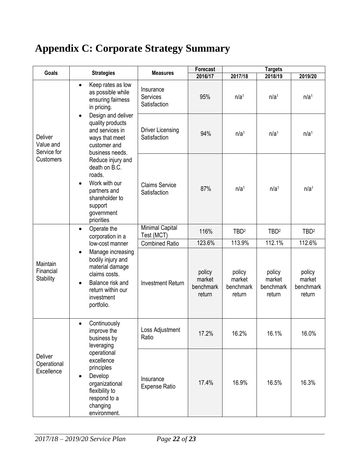## <span id="page-21-0"></span>**Appendix C: Corporate Strategy Summary**

| Goals                                                   | <b>Strategies</b>                                                                                                                                                                                   | <b>Measures</b>                         | Forecast                                |                                         | <b>Targets</b>                          |                                         |  |
|---------------------------------------------------------|-----------------------------------------------------------------------------------------------------------------------------------------------------------------------------------------------------|-----------------------------------------|-----------------------------------------|-----------------------------------------|-----------------------------------------|-----------------------------------------|--|
|                                                         |                                                                                                                                                                                                     |                                         | 2016/17                                 | 2017/18                                 | 2018/19                                 | 2019/20                                 |  |
|                                                         | Keep rates as low<br>$\bullet$<br>as possible while<br>ensuring fairness<br>in pricing.                                                                                                             | Insurance<br>Services<br>Satisfaction   | 95%                                     | n/a <sup>1</sup>                        | n/a <sup>1</sup>                        | n/a <sup>1</sup>                        |  |
| <b>Deliver</b><br>Value and<br>Service for<br>Customers | Design and deliver<br>quality products<br>and services in<br>ways that meet<br>customer and<br>business needs.                                                                                      | <b>Driver Licensing</b><br>Satisfaction | 94%                                     | n/a <sup>1</sup>                        | n/a <sup>1</sup>                        | n/a <sup>1</sup>                        |  |
|                                                         | Reduce injury and<br>death on B.C.<br>roads.<br>Work with our<br>partners and<br>shareholder to<br>support<br>government<br>priorities                                                              | <b>Claims Service</b><br>Satisfaction   | 87%                                     | n/a <sup>1</sup>                        | n/a <sup>1</sup>                        | n/a <sup>1</sup>                        |  |
| Maintain<br>Financial<br><b>Stability</b>               | Operate the<br>$\bullet$                                                                                                                                                                            | Minimal Capital<br>Test (MCT)           | 116%                                    | TBD <sup>2</sup>                        | TBD <sup>2</sup>                        | TBD <sup>2</sup>                        |  |
|                                                         | corporation in a<br>low-cost manner<br>Manage increasing<br>$\bullet$<br>bodily injury and<br>material damage<br>claims costs.<br>Balance risk and<br>return within our<br>investment<br>portfolio. | <b>Combined Ratio</b>                   | 123.6%                                  | 113.9%                                  | 112.1%                                  | 112.6%                                  |  |
|                                                         |                                                                                                                                                                                                     | <b>Investment Return</b>                | policy<br>market<br>benchmark<br>return | policy<br>market<br>benchmark<br>return | policy<br>market<br>benchmark<br>return | policy<br>market<br>benchmark<br>return |  |
| Deliver<br>Operational<br>Excellence                    | Continuously<br>$\bullet$<br>improve the<br>business by<br>leveraging                                                                                                                               | Loss Adjustment<br>Ratio                | 17.2%                                   | 16.2%                                   | 16.1%                                   | 16.0%                                   |  |
|                                                         | operational<br>excellence<br>principles<br>Develop<br>$\bullet$<br>organizational<br>flexibility to<br>respond to a<br>changing<br>environment.                                                     | Insurance<br><b>Expense Ratio</b>       | 17.4%                                   | 16.9%                                   | 16.5%                                   | 16.3%                                   |  |